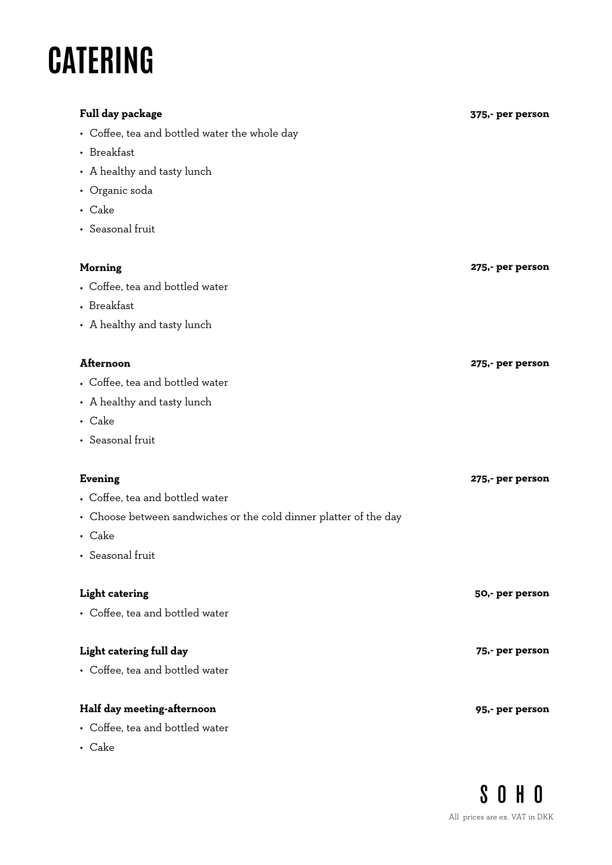# **CATERING**

| Full day package                                                  | 375,- per person |
|-------------------------------------------------------------------|------------------|
| • Coffee, tea and bottled water the whole day                     |                  |
| • Breakfast                                                       |                  |
| • A healthy and tasty lunch                                       |                  |
| • Organic soda                                                    |                  |
| • Cake                                                            |                  |
| • Seasonal fruit                                                  |                  |
|                                                                   |                  |
| <b>Morning</b>                                                    | 275,- per person |
| • Coffee, tea and bottled water                                   |                  |
| • Breakfast                                                       |                  |
| • A healthy and tasty lunch                                       |                  |
|                                                                   |                  |
| <b>Afternoon</b>                                                  | 275,- per person |
| • Coffee, tea and bottled water                                   |                  |
| • A healthy and tasty lunch                                       |                  |
| • Cake                                                            |                  |
| • Seasonal fruit                                                  |                  |
|                                                                   |                  |
| <b>Evening</b>                                                    | 275,- per person |
| • Coffee, tea and bottled water                                   |                  |
| • Choose between sandwiches or the cold dinner platter of the day |                  |
| • Cake                                                            |                  |
| • Seasonal fruit                                                  |                  |
|                                                                   |                  |
| <b>Light catering</b>                                             | 50,- per person  |
| • Coffee, tea and bottled water                                   |                  |
|                                                                   |                  |
| Light catering full day                                           | 75,- per person  |
| • Coffee, tea and bottled water                                   |                  |
| Half day meeting-afternoon                                        |                  |
| • Coffee, tea and bottled water                                   | 95,- per person  |
|                                                                   |                  |

• Cake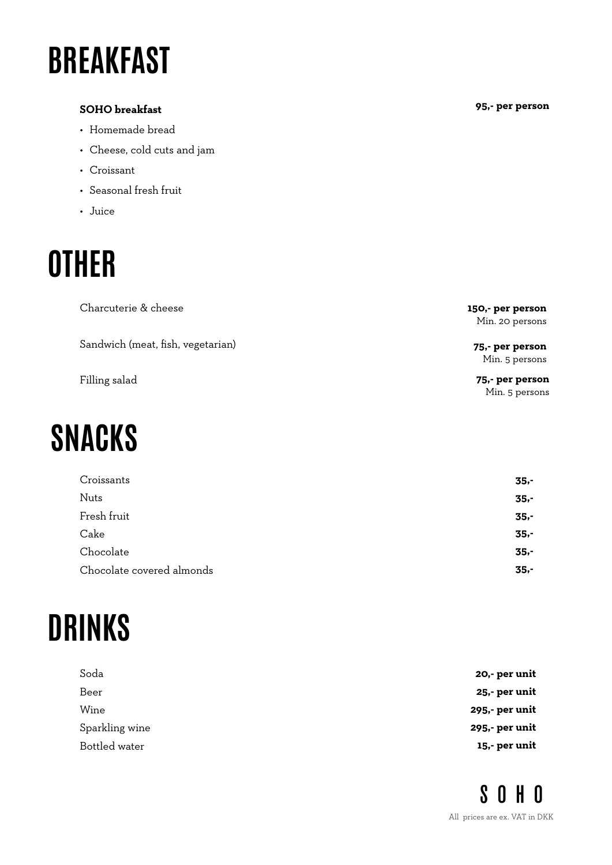# **BREAKFAST**

#### **SOHO breakfast**

- Homemade bread
- Cheese, cold cuts and jam
- Croissant
- Seasonal fresh fruit
- Juice

### **OTHER**

| Charcuterie & cheese              | 150,- per person<br>Min. 20 persons |
|-----------------------------------|-------------------------------------|
| Sandwich (meat, fish, vegetarian) | 75,- per person<br>Min. 5 persons   |
| Filling salad                     | 75,- per person<br>Min. 5 persons   |

# **SNACKS**

| Croissants                | $35 -$ |
|---------------------------|--------|
| <b>Nuts</b>               | $35 -$ |
| Fresh fruit               | $35 -$ |
| Cake                      | $35 -$ |
| Chocolate                 | $35 -$ |
| Chocolate covered almonds | $35 -$ |

# **DRINKS**

| 20,- per unit  |
|----------------|
| 25,- per unit  |
| 295,- per unit |
| 295,- per unit |
| 15,- per unit  |
|                |

**95,- per person**

**SOHO** All prices are ex. VAT in DKK